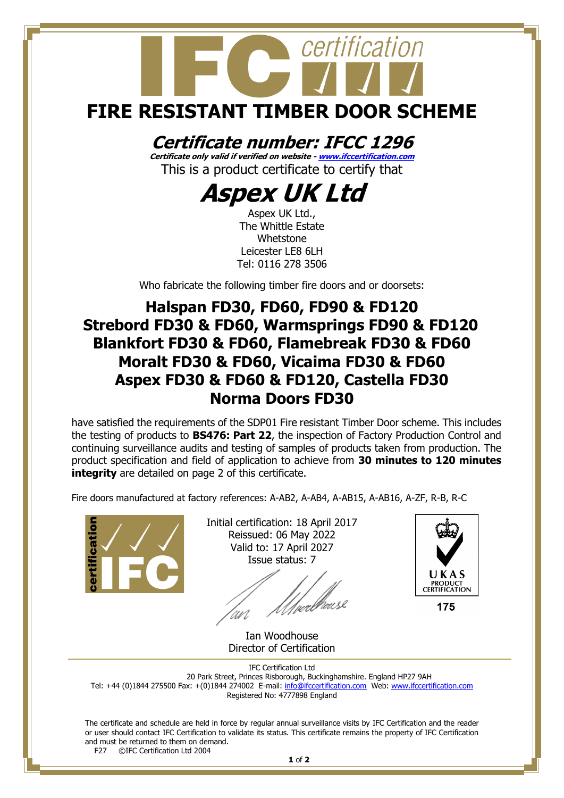# certification **FIRE RESISTANT TIMBER DOOR SCHEME**

### **Certificate number: IFCC 1296**

**Certificate only valid if verified on website - [www.ifccertification.com](http://www.ifccertification.com/)** This is a product certificate to certify that

### **Aspex UK Ltd**

Aspex UK Ltd., The Whittle Estate Whetstone Leicester LE8 6LH Tel: 0116 278 3506

Who fabricate the following timber fire doors and or doorsets:

#### **Halspan FD30, FD60, FD90 & FD120 Strebord FD30 & FD60, Warmsprings FD90 & FD120 Blankfort FD30 & FD60, Flamebreak FD30 & FD60 Moralt FD30 & FD60, Vicaima FD30 & FD60 Aspex FD30 & FD60 & FD120, Castella FD30 Norma Doors FD30**

have satisfied the requirements of the SDP01 Fire resistant Timber Door scheme. This includes the testing of products to **BS476: Part 22**, the inspection of Factory Production Control and continuing surveillance audits and testing of samples of products taken from production. The product specification and field of application to achieve from **30 minutes to 120 minutes integrity** are detailed on page 2 of this certificate.

Fire doors manufactured at factory references: A-AB2, A-AB4, A-AB15, A-AB16, A-ZF, R-B, R-C



Initial certification: 18 April 2017 Reissued: 06 May 2022 Valid to: 17 April 2027 Issue status: 7

'|<br>wellicusk



175

Ian Woodhouse Director of Certification

IFC Certification Ltd 20 Park Street, Princes Risborough, Buckinghamshire. England HP27 9AH Tel: +44 (0)1844 275500 Fax: +(0)1844 274002 E-mail[: info@ifccertification.com](mailto:info@ifccertification.com) Web: [www.ifccertification.com](http://www.ifccertification.com/) Registered No: 4777898 England

The certificate and schedule are held in force by regular annual surveillance visits by IFC Certification and the reader or user should contact IFC Certification to validate its status. This certificate remains the property of IFC Certification and must be returned to them on demand.<br>F27 ©IFC Certification Ltd 2004 ©IFC Certification Ltd 2004

**1** of **2**